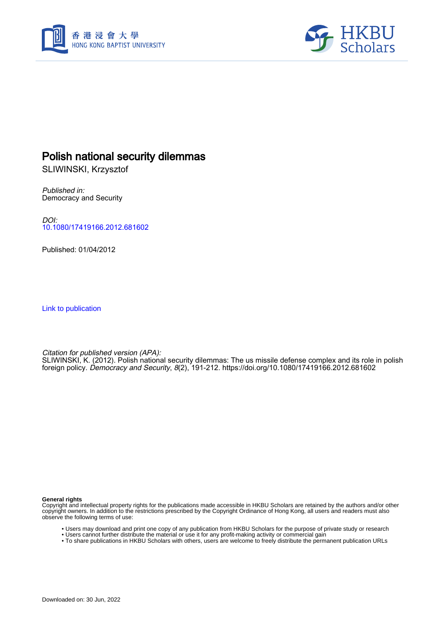



# Polish national security dilemmas

SLIWINSKI, Krzysztof

Published in: Democracy and Security

DOI: [10.1080/17419166.2012.681602](https://doi.org/10.1080/17419166.2012.681602)

Published: 01/04/2012

[Link to publication](https://scholars.hkbu.edu.hk/en/publications/4d76d97d-54f1-4fd5-9fbd-5c44d6b4d052)

Citation for published version (APA):

SLIWINSKI, K. (2012). Polish national security dilemmas: The us missile defense complex and its role in polish foreign policy. Democracy and Security, 8(2), 191-212.<https://doi.org/10.1080/17419166.2012.681602>

**General rights**

Copyright and intellectual property rights for the publications made accessible in HKBU Scholars are retained by the authors and/or other copyright owners. In addition to the restrictions prescribed by the Copyright Ordinance of Hong Kong, all users and readers must also observe the following terms of use:

- Users may download and print one copy of any publication from HKBU Scholars for the purpose of private study or research
- Users cannot further distribute the material or use it for any profit-making activity or commercial gain
- To share publications in HKBU Scholars with others, users are welcome to freely distribute the permanent publication URLs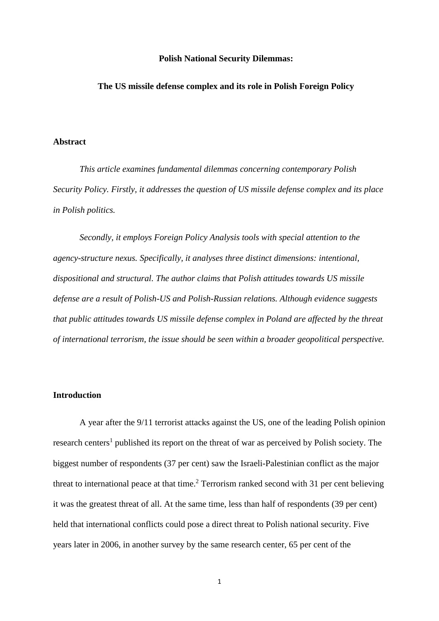### **Polish National Security Dilemmas:**

### **The US missile defense complex and its role in Polish Foreign Policy**

### **Abstract**

*This article examines fundamental dilemmas concerning contemporary Polish Security Policy. Firstly, it addresses the question of US missile defense complex and its place in Polish politics.*

*Secondly, it employs Foreign Policy Analysis tools with special attention to the agency-structure nexus. Specifically, it analyses three distinct dimensions: intentional, dispositional and structural. The author claims that Polish attitudes towards US missile defense are a result of Polish-US and Polish-Russian relations. Although evidence suggests that public attitudes towards US missile defense complex in Poland are affected by the threat of international terrorism, the issue should be seen within a broader geopolitical perspective.*

### **Introduction**

A year after the 9/11 terrorist attacks against the US, one of the leading Polish opinion research centers<sup>1</sup> published its report on the threat of war as perceived by Polish society. The biggest number of respondents (37 per cent) saw the Israeli-Palestinian conflict as the major threat to international peace at that time. <sup>2</sup> Terrorism ranked second with 31 per cent believing it was the greatest threat of all. At the same time, less than half of respondents (39 per cent) held that international conflicts could pose a direct threat to Polish national security. Five years later in 2006, in another survey by the same research center, 65 per cent of the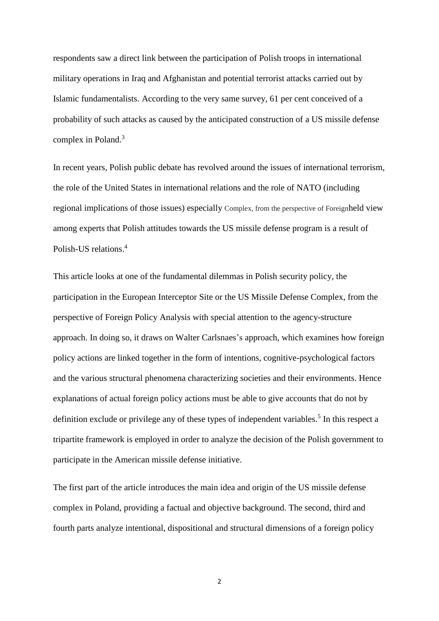respondents saw a direct link between the participation of Polish troops in international military operations in Iraq and Afghanistan and potential terrorist attacks carried out by Islamic fundamentalists. According to the very same survey, 61 per cent conceived of a probability of such attacks as caused by the anticipated construction of a US missile defense complex in Poland.<sup>3</sup>

In recent years, Polish public debate has revolved around the issues of international terrorism, the role of the United States in international relations and the role of NATO (including regional implications of those issues) especially Complex, from the perspective of Foreignheld view among experts that Polish attitudes towards the US missile defense program is a result of Polish-US relations.<sup>4</sup>

This article looks at one of the fundamental dilemmas in Polish security policy, the participation in the European Interceptor Site or the US Missile Defense Complex, from the perspective of Foreign Policy Analysis with special attention to the agency-structure approach. In doing so, it draws on Walter Carlsnaes's approach, which examines how foreign policy actions are linked together in the form of intentions, cognitive-psychological factors and the various structural phenomena characterizing societies and their environments. Hence explanations of actual foreign policy actions must be able to give accounts that do not by definition exclude or privilege any of these types of independent variables.<sup>5</sup> In this respect a tripartite framework is employed in order to analyze the decision of the Polish government to participate in the American missile defense initiative.

The first part of the article introduces the main idea and origin of the US missile defense complex in Poland, providing a factual and objective background. The second, third and fourth parts analyze intentional, dispositional and structural dimensions of a foreign policy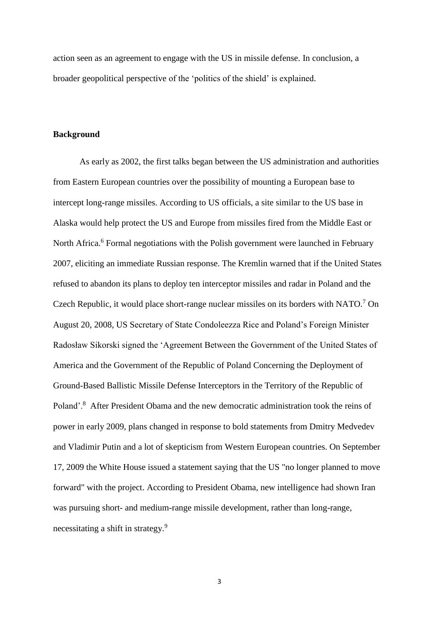action seen as an agreement to engage with the US in missile defense. In conclusion, a broader geopolitical perspective of the 'politics of the shield' is explained.

# **Background**

As early as 2002, the first talks began between the US administration and authorities from Eastern European countries over the possibility of mounting a European base to intercept long-range missiles. According to US officials, a site similar to the US base in Alaska would help protect the US and Europe from missiles fired from the Middle East or North Africa.<sup>6</sup> Formal negotiations with the Polish government were launched in February 2007, eliciting an immediate Russian response. The Kremlin warned that if the United States refused to abandon its plans to deploy ten interceptor missiles and radar in Poland and the Czech Republic, it would place short-range nuclear missiles on its borders with NATO.<sup>7</sup> On August 20, 2008, US Secretary of State Condoleezza Rice and Poland's Foreign Minister Radosław Sikorski signed the 'Agreement Between the Government of the United States of America and the Government of the Republic of Poland Concerning the Deployment of Ground-Based Ballistic Missile Defense Interceptors in the Territory of the Republic of Poland'.<sup>8</sup> After President Obama and the new democratic administration took the reins of power in early 2009, plans changed in response to bold statements from Dmitry Medvedev and Vladimir Putin and a lot of skepticism from Western European countries. On September 17, 2009 the White House issued a statement saying that the US "no longer planned to move forward" with the project. According to President Obama, new intelligence had shown Iran was pursuing short- and medium-range missile development, rather than long-range, necessitating a shift in strategy.<sup>9</sup>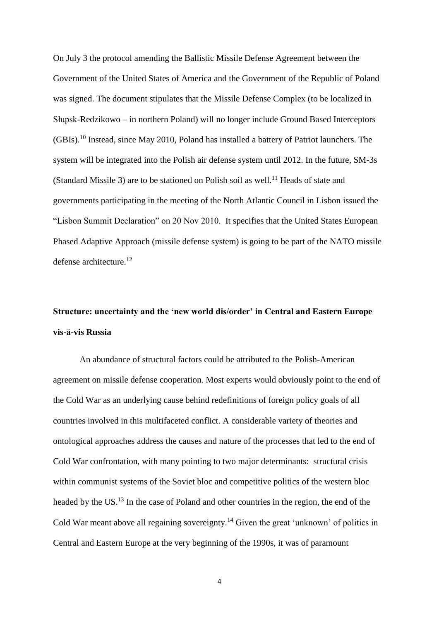On July 3 the protocol amending the Ballistic Missile Defense Agreement between the Government of the United States of America and the Government of the Republic of Poland was signed. The document stipulates that the Missile Defense Complex (to be localized in Słupsk-Redzikowo – in northern Poland) will no longer include Ground Based Interceptors (GBIs).<sup>10</sup> Instead, since May 2010, Poland has installed a battery of Patriot launchers. The system will be integrated into the Polish air defense system until 2012. In the future, SM-3s (Standard Missile 3) are to be stationed on Polish soil as well.<sup>11</sup> Heads of state and governments participating in the meeting of the North Atlantic Council in Lisbon issued the "Lisbon Summit Declaration" on 20 Nov 2010. It specifies that the United States European Phased Adaptive Approach (missile defense system) is going to be part of the NATO missile defense architecture.<sup>12</sup>

# **Structure: uncertainty and the 'new world dis/order' in Central and Eastern Europe vis-ả-vis Russia**

An abundance of structural factors could be attributed to the Polish-American agreement on missile defense cooperation. Most experts would obviously point to the end of the Cold War as an underlying cause behind redefinitions of foreign policy goals of all countries involved in this multifaceted conflict. A considerable variety of theories and ontological approaches address the causes and nature of the processes that led to the end of Cold War confrontation, with many pointing to two major determinants: structural crisis within communist systems of the Soviet bloc and competitive politics of the western bloc headed by the US.<sup>13</sup> In the case of Poland and other countries in the region, the end of the Cold War meant above all regaining sovereignty.<sup>14</sup> Given the great 'unknown' of politics in Central and Eastern Europe at the very beginning of the 1990s, it was of paramount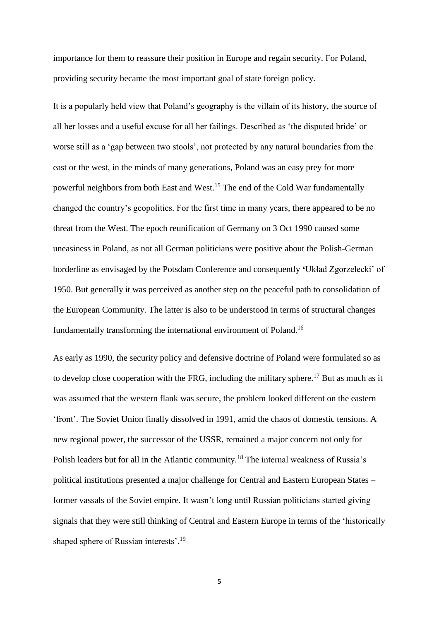importance for them to reassure their position in Europe and regain security. For Poland, providing security became the most important goal of state foreign policy.

It is a popularly held view that Poland's geography is the villain of its history, the source of all her losses and a useful excuse for all her failings. Described as 'the disputed bride' or worse still as a 'gap between two stools', not protected by any natural boundaries from the east or the west, in the minds of many generations, Poland was an easy prey for more powerful neighbors from both East and West.<sup>15</sup> The end of the Cold War fundamentally changed the country's geopolitics. For the first time in many years, there appeared to be no threat from the West. The epoch reunification of Germany on 3 Oct 1990 caused some uneasiness in Poland, as not all German politicians were positive about the Polish-German borderline as envisaged by the Potsdam Conference and consequently **'**Układ Zgorzelecki' of 1950. But generally it was perceived as another step on the peaceful path to consolidation of the European Community. The latter is also to be understood in terms of structural changes fundamentally transforming the international environment of Poland.<sup>16</sup>

As early as 1990, the security policy and defensive doctrine of Poland were formulated so as to develop close cooperation with the FRG, including the military sphere.<sup>17</sup> But as much as it was assumed that the western flank was secure, the problem looked different on the eastern 'front'. The Soviet Union finally dissolved in 1991, amid the chaos of domestic tensions. A new regional power, the successor of the USSR, remained a major concern not only for Polish leaders but for all in the Atlantic community.<sup>18</sup> The internal weakness of Russia's political institutions presented a major challenge for Central and Eastern European States – former vassals of the Soviet empire. It wasn't long until Russian politicians started giving signals that they were still thinking of Central and Eastern Europe in terms of the 'historically shaped sphere of Russian interests'.<sup>19</sup>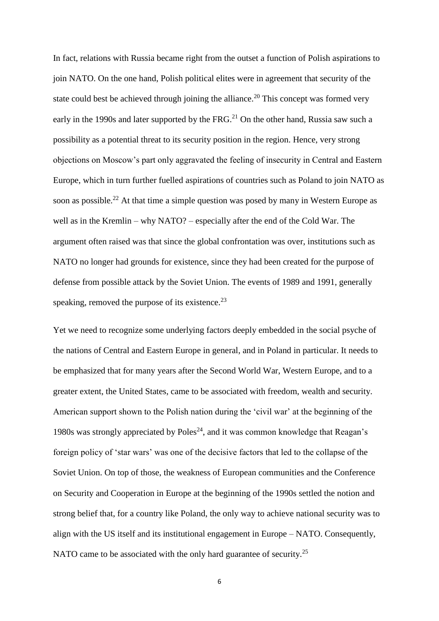In fact, relations with Russia became right from the outset a function of Polish aspirations to join NATO. On the one hand, Polish political elites were in agreement that security of the state could best be achieved through joining the alliance.<sup>20</sup> This concept was formed very early in the 1990s and later supported by the FRG.<sup>21</sup> On the other hand, Russia saw such a possibility as a potential threat to its security position in the region. Hence, very strong objections on Moscow's part only aggravated the feeling of insecurity in Central and Eastern Europe, which in turn further fuelled aspirations of countries such as Poland to join NATO as soon as possible.<sup>22</sup> At that time a simple question was posed by many in Western Europe as well as in the Kremlin – why NATO? – especially after the end of the Cold War. The argument often raised was that since the global confrontation was over, institutions such as NATO no longer had grounds for existence, since they had been created for the purpose of defense from possible attack by the Soviet Union. The events of 1989 and 1991, generally speaking, removed the purpose of its existence. $^{23}$ 

Yet we need to recognize some underlying factors deeply embedded in the social psyche of the nations of Central and Eastern Europe in general, and in Poland in particular. It needs to be emphasized that for many years after the Second World War, Western Europe, and to a greater extent, the United States, came to be associated with freedom, wealth and security. American support shown to the Polish nation during the 'civil war' at the beginning of the 1980s was strongly appreciated by  $Poles^{24}$ , and it was common knowledge that Reagan's foreign policy of 'star wars' was one of the decisive factors that led to the collapse of the Soviet Union. On top of those, the weakness of European communities and the Conference on Security and Cooperation in Europe at the beginning of the 1990s settled the notion and strong belief that, for a country like Poland, the only way to achieve national security was to align with the US itself and its institutional engagement in Europe – NATO. Consequently, NATO came to be associated with the only hard guarantee of security.<sup>25</sup>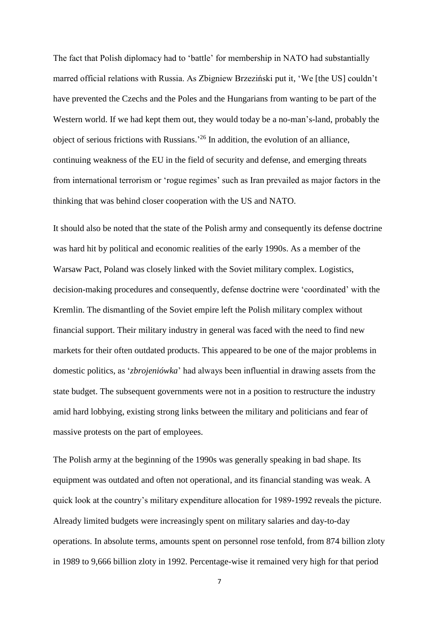The fact that Polish diplomacy had to 'battle' for membership in NATO had substantially marred official relations with Russia. As Zbigniew Brzeziński put it, 'We [the US] couldn't have prevented the Czechs and the Poles and the Hungarians from wanting to be part of the Western world. If we had kept them out, they would today be a no-man's-land, probably the object of serious frictions with Russians.' <sup>26</sup> In addition, the evolution of an alliance, continuing weakness of the EU in the field of security and defense, and emerging threats from international terrorism or 'rogue regimes' such as Iran prevailed as major factors in the thinking that was behind closer cooperation with the US and NATO.

It should also be noted that the state of the Polish army and consequently its defense doctrine was hard hit by political and economic realities of the early 1990s. As a member of the Warsaw Pact, Poland was closely linked with the Soviet military complex. Logistics, decision-making procedures and consequently, defense doctrine were 'coordinated' with the Kremlin. The dismantling of the Soviet empire left the Polish military complex without financial support. Their military industry in general was faced with the need to find new markets for their often outdated products. This appeared to be one of the major problems in domestic politics, as '*zbrojeniówka*' had always been influential in drawing assets from the state budget. The subsequent governments were not in a position to restructure the industry amid hard lobbying, existing strong links between the military and politicians and fear of massive protests on the part of employees.

The Polish army at the beginning of the 1990s was generally speaking in bad shape. Its equipment was outdated and often not operational, and its financial standing was weak. A quick look at the country's military expenditure allocation for 1989-1992 reveals the picture. Already limited budgets were increasingly spent on military salaries and day-to-day operations. In absolute terms, amounts spent on personnel rose tenfold, from 874 billion zloty in 1989 to 9,666 billion zloty in 1992. Percentage-wise it remained very high for that period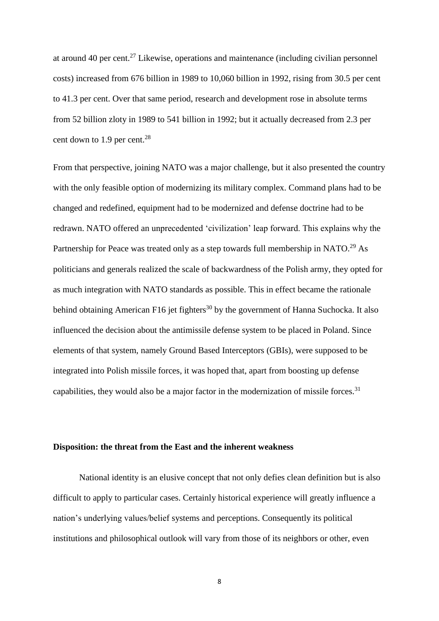at around 40 per cent.<sup>27</sup> Likewise, operations and maintenance (including civilian personnel costs) increased from 676 billion in 1989 to 10,060 billion in 1992, rising from 30.5 per cent to 41.3 per cent. Over that same period, research and development rose in absolute terms from 52 billion zloty in 1989 to 541 billion in 1992; but it actually decreased from 2.3 per cent down to  $1.9$  per cent.<sup>28</sup>

From that perspective, joining NATO was a major challenge, but it also presented the country with the only feasible option of modernizing its military complex. Command plans had to be changed and redefined, equipment had to be modernized and defense doctrine had to be redrawn. NATO offered an unprecedented 'civilization' leap forward. This explains why the Partnership for Peace was treated only as a step towards full membership in NATO.<sup>29</sup> As politicians and generals realized the scale of backwardness of the Polish army, they opted for as much integration with NATO standards as possible. This in effect became the rationale behind obtaining American F16 jet fighters<sup>30</sup> by the government of Hanna Suchocka. It also influenced the decision about the antimissile defense system to be placed in Poland. Since elements of that system, namely Ground Based Interceptors (GBIs), were supposed to be integrated into Polish missile forces, it was hoped that, apart from boosting up defense capabilities, they would also be a major factor in the modernization of missile forces.<sup>31</sup>

### **Disposition: the threat from the East and the inherent weakness**

National identity is an elusive concept that not only defies clean definition but is also difficult to apply to particular cases. Certainly historical experience will greatly influence a nation's underlying values/belief systems and perceptions. Consequently its political institutions and philosophical outlook will vary from those of its neighbors or other, even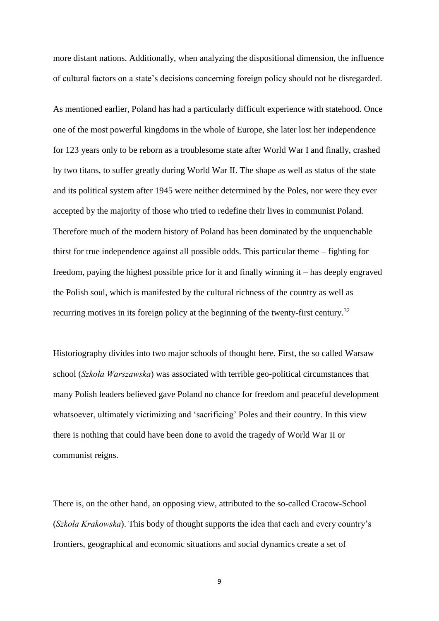more distant nations. Additionally, when analyzing the dispositional dimension, the influence of cultural factors on a state's decisions concerning foreign policy should not be disregarded.

As mentioned earlier, Poland has had a particularly difficult experience with statehood. Once one of the most powerful kingdoms in the whole of Europe, she later lost her independence for 123 years only to be reborn as a troublesome state after World War I and finally, crashed by two titans, to suffer greatly during World War II. The shape as well as status of the state and its political system after 1945 were neither determined by the Poles, nor were they ever accepted by the majority of those who tried to redefine their lives in communist Poland. Therefore much of the modern history of Poland has been dominated by the unquenchable thirst for true independence against all possible odds. This particular theme – fighting for freedom, paying the highest possible price for it and finally winning it – has deeply engraved the Polish soul, which is manifested by the cultural richness of the country as well as recurring motives in its foreign policy at the beginning of the twenty-first century.<sup>32</sup>

Historiography divides into two major schools of thought here. First, the so called Warsaw school (*Szkoła Warszawska*) was associated with terrible geo-political circumstances that many Polish leaders believed gave Poland no chance for freedom and peaceful development whatsoever, ultimately victimizing and 'sacrificing' Poles and their country. In this view there is nothing that could have been done to avoid the tragedy of World War II or communist reigns.

There is, on the other hand, an opposing view, attributed to the so-called Cracow-School (*Szkoła Krakowska*). This body of thought supports the idea that each and every country's frontiers, geographical and economic situations and social dynamics create a set of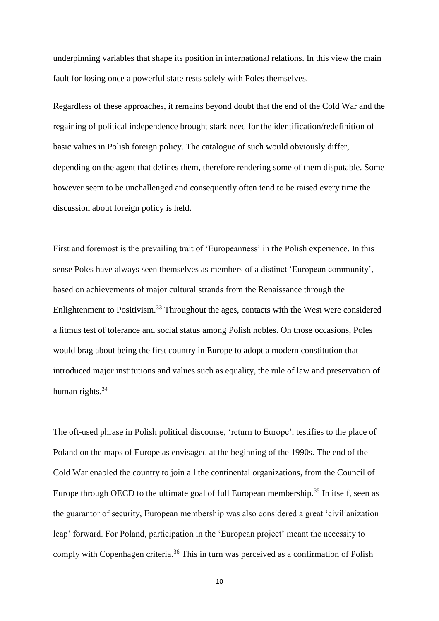underpinning variables that shape its position in international relations. In this view the main fault for losing once a powerful state rests solely with Poles themselves.

Regardless of these approaches, it remains beyond doubt that the end of the Cold War and the regaining of political independence brought stark need for the identification/redefinition of basic values in Polish foreign policy. The catalogue of such would obviously differ, depending on the agent that defines them, therefore rendering some of them disputable. Some however seem to be unchallenged and consequently often tend to be raised every time the discussion about foreign policy is held.

First and foremost is the prevailing trait of 'Europeanness' in the Polish experience. In this sense Poles have always seen themselves as members of a distinct 'European community', based on achievements of major cultural strands from the Renaissance through the Enlightenment to Positivism.<sup>33</sup> Throughout the ages, contacts with the West were considered a litmus test of tolerance and social status among Polish nobles. On those occasions, Poles would brag about being the first country in Europe to adopt a modern constitution that introduced major institutions and values such as equality, the rule of law and preservation of human rights.<sup>34</sup>

The oft-used phrase in Polish political discourse, 'return to Europe', testifies to the place of Poland on the maps of Europe as envisaged at the beginning of the 1990s. The end of the Cold War enabled the country to join all the continental organizations, from the Council of Europe through OECD to the ultimate goal of full European membership.<sup>35</sup> In itself, seen as the guarantor of security, European membership was also considered a great 'civilianization leap' forward. For Poland, participation in the 'European project' meant the necessity to comply with Copenhagen criteria.<sup>36</sup> This in turn was perceived as a confirmation of Polish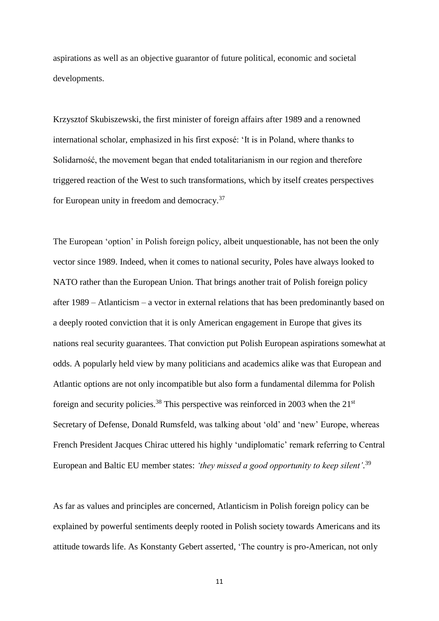aspirations as well as an objective guarantor of future political, economic and societal developments.

Krzysztof Skubiszewski, the first minister of foreign affairs after 1989 and a renowned international scholar, emphasized in his first exposé: 'It is in Poland, where thanks to Solidarność, the movement began that ended totalitarianism in our region and therefore triggered reaction of the West to such transformations, which by itself creates perspectives for European unity in freedom and democracy.<sup>37</sup>

The European 'option' in Polish foreign policy, albeit unquestionable, has not been the only vector since 1989. Indeed, when it comes to national security, Poles have always looked to NATO rather than the European Union. That brings another trait of Polish foreign policy after 1989 – Atlanticism – a vector in external relations that has been predominantly based on a deeply rooted conviction that it is only American engagement in Europe that gives its nations real security guarantees. That conviction put Polish European aspirations somewhat at odds. A popularly held view by many politicians and academics alike was that European and Atlantic options are not only incompatible but also form a fundamental dilemma for Polish foreign and security policies.<sup>38</sup> This perspective was reinforced in 2003 when the  $21<sup>st</sup>$ Secretary of Defense, Donald Rumsfeld, was talking about 'old' and 'new' Europe, whereas French President Jacques Chirac uttered his highly 'undiplomatic' remark referring to Central European and Baltic EU member states: *'they missed a good opportunity to keep silent'*. 39

As far as values and principles are concerned, Atlanticism in Polish foreign policy can be explained by powerful sentiments deeply rooted in Polish society towards Americans and its attitude towards life. As Konstanty Gebert asserted, 'The country is pro-American, not only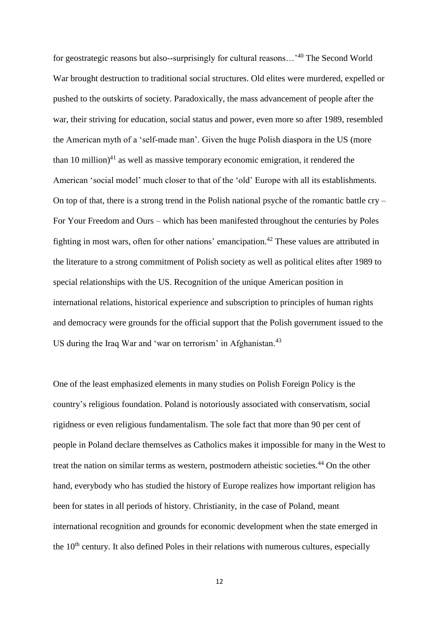for geostrategic reasons but also--surprisingly for cultural reasons…'<sup>40</sup> The Second World War brought destruction to traditional social structures. Old elites were murdered, expelled or pushed to the outskirts of society. Paradoxically, the mass advancement of people after the war, their striving for education, social status and power, even more so after 1989, resembled the American myth of a 'self-made man'. Given the huge Polish diaspora in the US (more than 10 million) $41$  as well as massive temporary economic emigration, it rendered the American 'social model' much closer to that of the 'old' Europe with all its establishments. On top of that, there is a strong trend in the Polish national psyche of the romantic battle  $\text{cry}$  – For Your Freedom and Ours – which has been manifested throughout the centuries by Poles fighting in most wars, often for other nations' emancipation.<sup>42</sup> These values are attributed in the literature to a strong commitment of Polish society as well as political elites after 1989 to special relationships with the US. Recognition of the unique American position in international relations, historical experience and subscription to principles of human rights and democracy were grounds for the official support that the Polish government issued to the US during the Iraq War and 'war on terrorism' in Afghanistan.<sup>43</sup>

One of the least emphasized elements in many studies on Polish Foreign Policy is the country's religious foundation. Poland is notoriously associated with conservatism, social rigidness or even religious fundamentalism. The sole fact that more than 90 per cent of people in Poland declare themselves as Catholics makes it impossible for many in the West to treat the nation on similar terms as western, postmodern atheistic societies.<sup>44</sup> On the other hand, everybody who has studied the history of Europe realizes how important religion has been for states in all periods of history. Christianity, in the case of Poland, meant international recognition and grounds for economic development when the state emerged in the  $10<sup>th</sup>$  century. It also defined Poles in their relations with numerous cultures, especially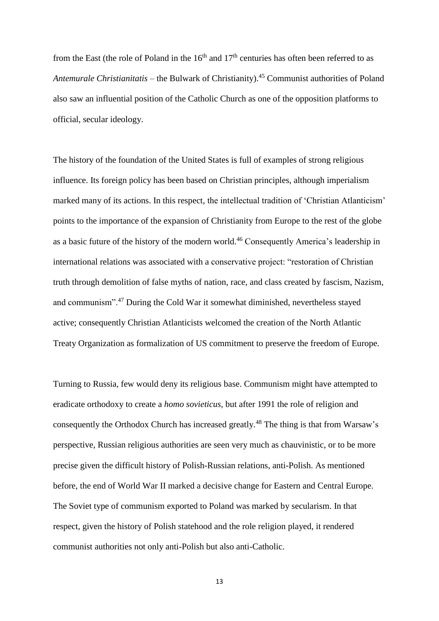from the East (the role of Poland in the  $16<sup>th</sup>$  and  $17<sup>th</sup>$  centuries has often been referred to as *Antemurale Christianitatis* – the Bulwark of Christianity).<sup>45</sup> Communist authorities of Poland also saw an influential position of the Catholic Church as one of the opposition platforms to official, secular ideology.

The history of the foundation of the United States is full of examples of strong religious influence. Its foreign policy has been based on Christian principles, although imperialism marked many of its actions. In this respect, the intellectual tradition of 'Christian Atlanticism' points to the importance of the expansion of Christianity from Europe to the rest of the globe as a basic future of the history of the modern world.<sup>46</sup> Consequently America's leadership in international relations was associated with a conservative project: "restoration of Christian truth through demolition of false myths of nation, race, and class created by fascism, Nazism, and communism".<sup>47</sup> During the Cold War it somewhat diminished, nevertheless stayed active; consequently Christian Atlanticists welcomed the creation of the North Atlantic Treaty Organization as formalization of US commitment to preserve the freedom of Europe.

Turning to Russia, few would deny its religious base. Communism might have attempted to eradicate orthodoxy to create a *homo sovieticus,* but after 1991 the role of religion and consequently the Orthodox Church has increased greatly.<sup>48</sup> The thing is that from Warsaw's perspective, Russian religious authorities are seen very much as chauvinistic, or to be more precise given the difficult history of Polish-Russian relations, anti-Polish. As mentioned before, the end of World War II marked a decisive change for Eastern and Central Europe. The Soviet type of communism exported to Poland was marked by secularism. In that respect, given the history of Polish statehood and the role religion played, it rendered communist authorities not only anti-Polish but also anti-Catholic.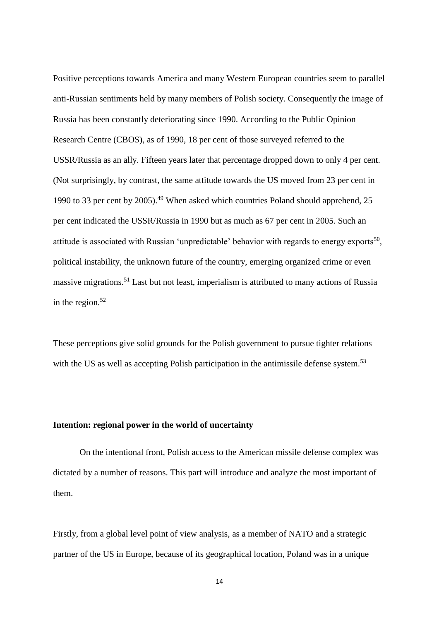Positive perceptions towards America and many Western European countries seem to parallel anti-Russian sentiments held by many members of Polish society. Consequently the image of Russia has been constantly deteriorating since 1990. According to the Public Opinion Research Centre (CBOS), as of 1990, 18 per cent of those surveyed referred to the USSR/Russia as an ally. Fifteen years later that percentage dropped down to only 4 per cent. (Not surprisingly, by contrast, the same attitude towards the US moved from 23 per cent in 1990 to 33 per cent by  $2005$ .<sup>49</sup> When asked which countries Poland should apprehend, 25 per cent indicated the USSR/Russia in 1990 but as much as 67 per cent in 2005. Such an attitude is associated with Russian 'unpredictable' behavior with regards to energy exports<sup>50</sup>, political instability, the unknown future of the country, emerging organized crime or even massive migrations.<sup>51</sup> Last but not least, imperialism is attributed to many actions of Russia in the region. $52$ 

These perceptions give solid grounds for the Polish government to pursue tighter relations with the US as well as accepting Polish participation in the antimissile defense system.<sup>53</sup>

# **Intention: regional power in the world of uncertainty**

On the intentional front, Polish access to the American missile defense complex was dictated by a number of reasons. This part will introduce and analyze the most important of them.

Firstly, from a global level point of view analysis, as a member of NATO and a strategic partner of the US in Europe, because of its geographical location, Poland was in a unique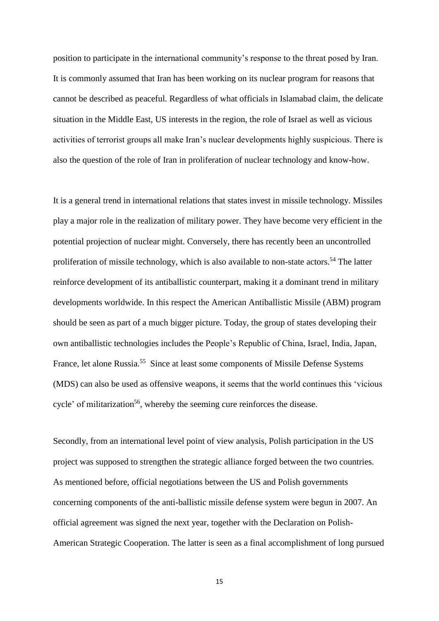position to participate in the international community's response to the threat posed by Iran. It is commonly assumed that Iran has been working on its nuclear program for reasons that cannot be described as peaceful. Regardless of what officials in Islamabad claim, the delicate situation in the Middle East, US interests in the region, the role of Israel as well as vicious activities of terrorist groups all make Iran's nuclear developments highly suspicious. There is also the question of the role of Iran in proliferation of nuclear technology and know-how.

It is a general trend in international relations that states invest in missile technology. Missiles play a major role in the realization of military power. They have become very efficient in the potential projection of nuclear might. Conversely, there has recently been an uncontrolled proliferation of missile technology, which is also available to non-state actors.<sup>54</sup> The latter reinforce development of its antiballistic counterpart, making it a dominant trend in military developments worldwide. In this respect the American Antiballistic Missile (ABM) program should be seen as part of a much bigger picture. Today, the group of states developing their own antiballistic technologies includes the People's Republic of China, Israel, India, Japan, France, let alone Russia.<sup>55</sup> Since at least some components of Missile Defense Systems (MDS) can also be used as offensive weapons, it seems that the world continues this 'vicious cycle' of militarization<sup>56</sup>, whereby the seeming cure reinforces the disease.

Secondly, from an international level point of view analysis, Polish participation in the US project was supposed to strengthen the strategic alliance forged between the two countries. As mentioned before, official negotiations between the US and Polish governments concerning components of the anti-ballistic missile defense system were begun in 2007. An official agreement was signed the next year, together with the Declaration on Polish-American Strategic Cooperation. The latter is seen as a final accomplishment of long pursued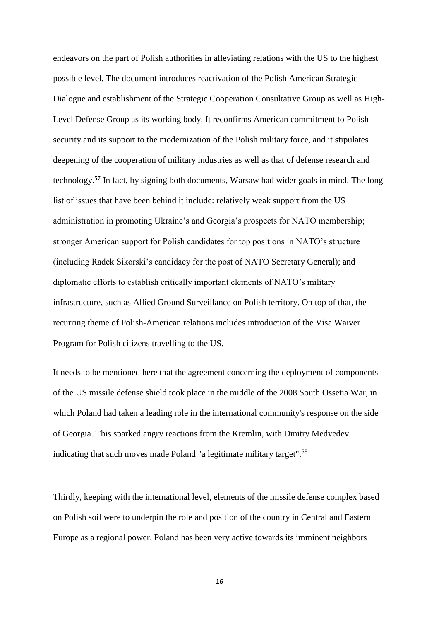endeavors on the part of Polish authorities in alleviating relations with the US to the highest possible level. The document introduces reactivation of the Polish American Strategic Dialogue and establishment of the Strategic Cooperation Consultative Group as well as High-Level Defense Group as its working body. It reconfirms American commitment to Polish security and its support to the modernization of the Polish military force, and it stipulates deepening of the cooperation of military industries as well as that of defense research and technology.**<sup>57</sup>** In fact, by signing both documents, Warsaw had wider goals in mind. The long list of issues that have been behind it include: relatively weak support from the US administration in promoting Ukraine's and Georgia's prospects for NATO membership; stronger American support for Polish candidates for top positions in NATO's structure (including Radek Sikorski's candidacy for the post of NATO Secretary General); and diplomatic efforts to establish critically important elements of NATO's military infrastructure, such as Allied Ground Surveillance on Polish territory. On top of that, the recurring theme of Polish-American relations includes introduction of the Visa Waiver Program for Polish citizens travelling to the US.

It needs to be mentioned here that the agreement concerning the deployment of components of the US missile defense shield took place in the middle of the 2008 South Ossetia War, in which Poland had taken a leading role in the international community's response on the side of Georgia. This sparked angry reactions from the Kremlin, with Dmitry Medvedev indicating that such moves made Poland "a legitimate military target".<sup>58</sup>

Thirdly, keeping with the international level, elements of the missile defense complex based on Polish soil were to underpin the role and position of the country in Central and Eastern Europe as a regional power. Poland has been very active towards its imminent neighbors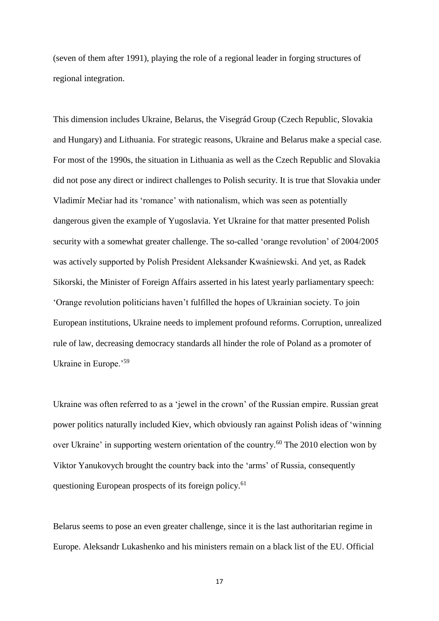(seven of them after 1991), playing the role of a regional leader in forging structures of regional integration.

This dimension includes Ukraine, Belarus, the Visegrád Group (Czech Republic, Slovakia and Hungary) and Lithuania. For strategic reasons, Ukraine and Belarus make a special case. For most of the 1990s, the situation in Lithuania as well as the Czech Republic and Slovakia did not pose any direct or indirect challenges to Polish security. It is true that Slovakia under Vladimír Mečiar had its 'romance' with nationalism, which was seen as potentially dangerous given the example of Yugoslavia. Yet Ukraine for that matter presented Polish security with a somewhat greater challenge. The so-called 'orange revolution' of 2004/2005 was actively supported by Polish President Aleksander Kwaśniewski. And yet, as Radek Sikorski, the Minister of Foreign Affairs asserted in his latest yearly parliamentary speech: 'Orange revolution politicians haven't fulfilled the hopes of Ukrainian society. To join European institutions, Ukraine needs to implement profound reforms. Corruption, unrealized rule of law, decreasing democracy standards all hinder the role of Poland as a promoter of Ukraine in Europe.'<sup>59</sup>

Ukraine was often referred to as a 'jewel in the crown' of the Russian empire. Russian great power politics naturally included Kiev, which obviously ran against Polish ideas of 'winning over Ukraine' in supporting western orientation of the country.<sup>60</sup> The 2010 election won by Viktor Yanukovych brought the country back into the 'arms' of Russia, consequently questioning European prospects of its foreign policy.<sup>61</sup>

Belarus seems to pose an even greater challenge, since it is the last authoritarian regime in Europe. Aleksandr Lukashenko and his ministers remain on a black list of the EU. Official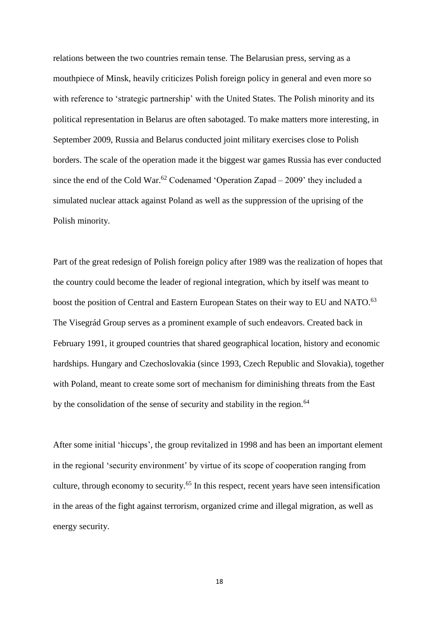relations between the two countries remain tense. The Belarusian press, serving as a mouthpiece of Minsk, heavily criticizes Polish foreign policy in general and even more so with reference to 'strategic partnership' with the United States. The Polish minority and its political representation in Belarus are often sabotaged. To make matters more interesting, in September 2009, Russia and Belarus conducted joint military exercises close to Polish borders. The scale of the operation made it the biggest war games Russia has ever conducted since the end of the Cold War.<sup>62</sup> Codenamed 'Operation Zapad – 2009' they included a simulated nuclear attack against Poland as well as the suppression of the uprising of the Polish minority.

Part of the great redesign of Polish foreign policy after 1989 was the realization of hopes that the country could become the leader of regional integration, which by itself was meant to boost the position of Central and Eastern European States on their way to EU and NATO.<sup>63</sup> The Visegrád Group serves as a prominent example of such endeavors. Created back in February 1991, it grouped countries that shared geographical location, history and economic hardships. Hungary and Czechoslovakia (since 1993, Czech Republic and Slovakia), together with Poland, meant to create some sort of mechanism for diminishing threats from the East by the consolidation of the sense of security and stability in the region.<sup>64</sup>

After some initial 'hiccups', the group revitalized in 1998 and has been an important element in the regional 'security environment' by virtue of its scope of cooperation ranging from culture, through economy to security.<sup>65</sup> In this respect, recent years have seen intensification in the areas of the fight against terrorism, organized crime and illegal migration, as well as energy security.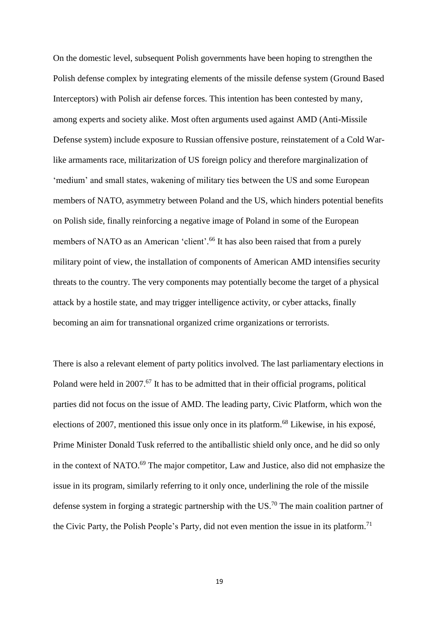On the domestic level, subsequent Polish governments have been hoping to strengthen the Polish defense complex by integrating elements of the missile defense system (Ground Based Interceptors) with Polish air defense forces. This intention has been contested by many, among experts and society alike. Most often arguments used against AMD (Anti-Missile Defense system) include exposure to Russian offensive posture, reinstatement of a Cold Warlike armaments race, militarization of US foreign policy and therefore marginalization of 'medium' and small states, wakening of military ties between the US and some European members of NATO, asymmetry between Poland and the US, which hinders potential benefits on Polish side, finally reinforcing a negative image of Poland in some of the European members of NATO as an American 'client'.<sup>66</sup> It has also been raised that from a purely military point of view, the installation of components of American AMD intensifies security threats to the country. The very components may potentially become the target of a physical attack by a hostile state, and may trigger intelligence activity, or cyber attacks, finally becoming an aim for transnational organized crime organizations or terrorists.

There is also a relevant element of party politics involved. The last parliamentary elections in Poland were held in 2007.<sup>67</sup> It has to be admitted that in their official programs, political parties did not focus on the issue of AMD. The leading party, Civic Platform, which won the elections of 2007, mentioned this issue only once in its platform.<sup>68</sup> Likewise, in his exposé, Prime Minister Donald Tusk referred to the antiballistic shield only once, and he did so only in the context of NATO.<sup>69</sup> The major competitor, Law and Justice, also did not emphasize the issue in its program, similarly referring to it only once, underlining the role of the missile defense system in forging a strategic partnership with the US.<sup>70</sup> The main coalition partner of the Civic Party, the Polish People's Party, did not even mention the issue in its platform.<sup>71</sup>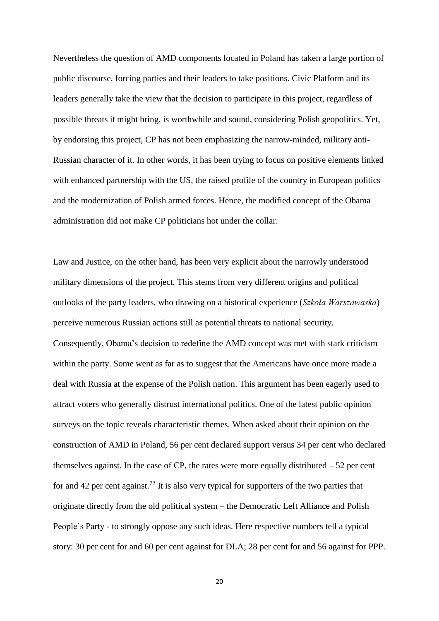Nevertheless the question of AMD components located in Poland has taken a large portion of public discourse, forcing parties and their leaders to take positions. Civic Platform and its leaders generally take the view that the decision to participate in this project, regardless of possible threats it might bring, is worthwhile and sound, considering Polish geopolitics. Yet, by endorsing this project, CP has not been emphasizing the narrow-minded, military anti-Russian character of it. In other words, it has been trying to focus on positive elements linked with enhanced partnership with the US, the raised profile of the country in European politics and the modernization of Polish armed forces. Hence, the modified concept of the Obama administration did not make CP politicians hot under the collar.

Law and Justice, on the other hand, has been very explicit about the narrowly understood military dimensions of the project. This stems from very different origins and political outlooks of the party leaders, who drawing on a historical experience (*Szkoła Warszawaska*) perceive numerous Russian actions still as potential threats to national security. Consequently, Obama's decision to redefine the AMD concept was met with stark criticism within the party. Some went as far as to suggest that the Americans have once more made a deal with Russia at the expense of the Polish nation. This argument has been eagerly used to attract voters who generally distrust international politics. One of the latest public opinion surveys on the topic reveals characteristic themes. When asked about their opinion on the construction of AMD in Poland, 56 per cent declared support versus 34 per cent who declared themselves against. In the case of CP, the rates were more equally distributed  $-52$  per cent for and 42 per cent against.<sup>72</sup> It is also very typical for supporters of the two parties that originate directly from the old political system – the Democratic Left Alliance and Polish People's Party - to strongly oppose any such ideas. Here respective numbers tell a typical story: 30 per cent for and 60 per cent against for DLA; 28 per cent for and 56 against for PPP.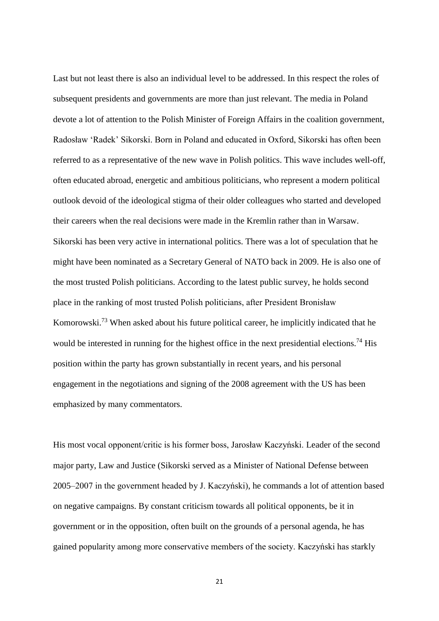Last but not least there is also an individual level to be addressed. In this respect the roles of subsequent presidents and governments are more than just relevant. The media in Poland devote a lot of attention to the Polish Minister of Foreign Affairs in the coalition government, Radosław 'Radek' Sikorski. Born in Poland and educated in Oxford, Sikorski has often been referred to as a representative of the new wave in Polish politics. This wave includes well-off, often educated abroad, energetic and ambitious politicians, who represent a modern political outlook devoid of the ideological stigma of their older colleagues who started and developed their careers when the real decisions were made in the Kremlin rather than in Warsaw. Sikorski has been very active in international politics. There was a lot of speculation that he might have been nominated as a Secretary General of NATO back in 2009. He is also one of the most trusted Polish politicians. According to the latest public survey, he holds second place in the ranking of most trusted Polish politicians, after President Bronisław Komorowski.<sup>73</sup> When asked about his future political career, he implicitly indicated that he would be interested in running for the highest office in the next presidential elections.<sup>74</sup> His position within the party has grown substantially in recent years, and his personal engagement in the negotiations and signing of the 2008 agreement with the US has been emphasized by many commentators.

His most vocal opponent/critic is his former boss, Jarosław Kaczyński. Leader of the second major party, Law and Justice (Sikorski served as a Minister of National Defense between 2005–2007 in the government headed by J. Kaczyński), he commands a lot of attention based on negative campaigns. By constant criticism towards all political opponents, be it in government or in the opposition, often built on the grounds of a personal agenda, he has gained popularity among more conservative members of the society. Kaczyński has starkly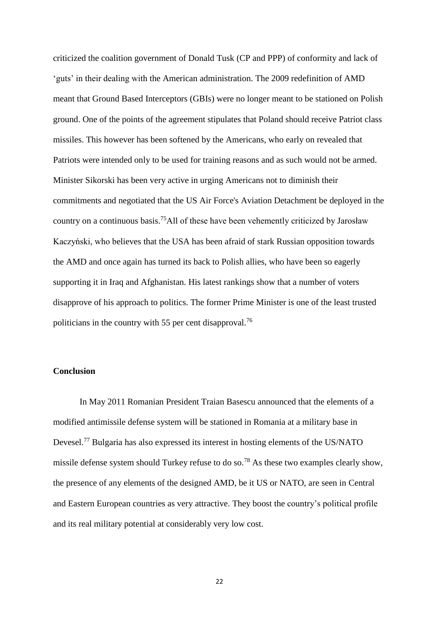criticized the coalition government of Donald Tusk (CP and PPP) of conformity and lack of 'guts' in their dealing with the American administration. The 2009 redefinition of AMD meant that Ground Based Interceptors (GBIs) were no longer meant to be stationed on Polish ground. One of the points of the agreement stipulates that Poland should receive Patriot class missiles. This however has been softened by the Americans, who early on revealed that Patriots were intended only to be used for training reasons and as such would not be armed. Minister Sikorski has been very active in urging Americans not to diminish their commitments and negotiated that the US Air Force's Aviation Detachment be deployed in the country on a continuous basis.<sup>75</sup>All of these have been vehemently criticized by Jarosław Kaczyński, who believes that the USA has been afraid of stark Russian opposition towards the AMD and once again has turned its back to Polish allies, who have been so eagerly supporting it in Iraq and Afghanistan. His latest rankings show that a number of voters disapprove of his approach to politics. The former Prime Minister is one of the least trusted politicians in the country with 55 per cent disapproval.<sup>76</sup>

# **Conclusion**

In May 2011 Romanian President Traian Basescu announced that the elements of a modified antimissile defense system will be stationed in Romania at a military base in Devesel.<sup>77</sup> Bulgaria has also expressed its interest in hosting elements of the US/NATO missile defense system should Turkey refuse to do so.<sup>78</sup> As these two examples clearly show, the presence of any elements of the designed AMD, be it US or NATO, are seen in Central and Eastern European countries as very attractive. They boost the country's political profile and its real military potential at considerably very low cost.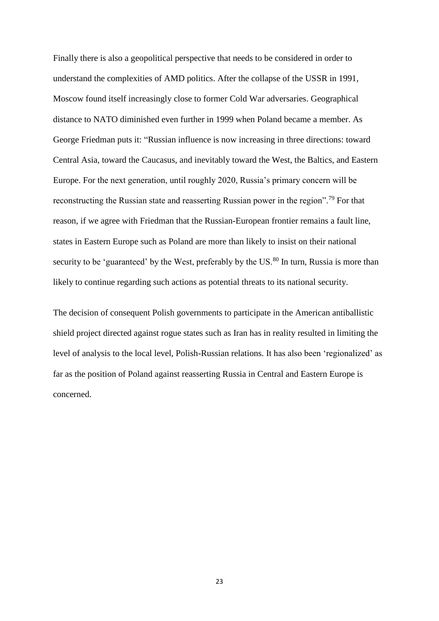Finally there is also a geopolitical perspective that needs to be considered in order to understand the complexities of AMD politics. After the collapse of the USSR in 1991, Moscow found itself increasingly close to former Cold War adversaries. Geographical distance to NATO diminished even further in 1999 when Poland became a member. As George Friedman puts it: "Russian influence is now increasing in three directions: toward Central Asia, toward the Caucasus, and inevitably toward the West, the Baltics, and Eastern Europe. For the next generation, until roughly 2020, Russia's primary concern will be reconstructing the Russian state and reasserting Russian power in the region".<sup>79</sup> For that reason, if we agree with Friedman that the Russian-European frontier remains a fault line, states in Eastern Europe such as Poland are more than likely to insist on their national security to be 'guaranteed' by the West, preferably by the US.<sup>80</sup> In turn, Russia is more than likely to continue regarding such actions as potential threats to its national security.

The decision of consequent Polish governments to participate in the American antiballistic shield project directed against rogue states such as Iran has in reality resulted in limiting the level of analysis to the local level, Polish-Russian relations. It has also been 'regionalized' as far as the position of Poland against reasserting Russia in Central and Eastern Europe is concerned.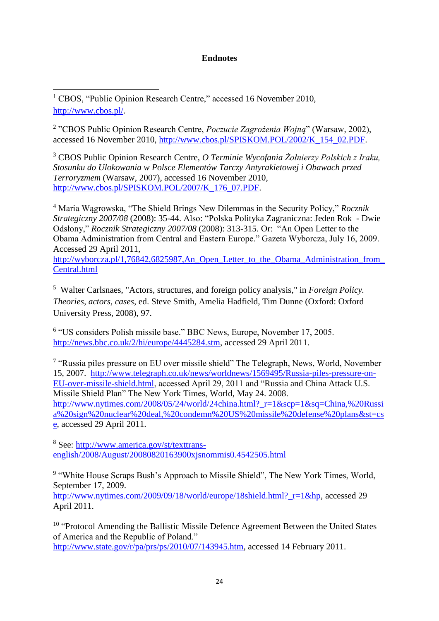# **Endnotes**

1 <sup>1</sup> CBOS, "Public Opinion Research Centre," accessed 16 November 2010, [http://www.cbos.pl/.](http://www.cbos.pl/)

2 "CBOS Public Opinion Research Centre, *Poczucie Zagrożenia Wojną*" (Warsaw, 2002), accessed 16 November 2010, [http://www.cbos.pl/SPISKOM.POL/2002/K\\_154\\_02.PDF.](http://www.cbos.pl/SPISKOM.POL/2002/K_154_02.PDF)

<sup>3</sup> CBOS Public Opinion Research Centre, *O Terminie Wycofania Żołnierzy Polskich z Iraku, Stosunku do Ulokowania w Polsce Elementów Tarczy Antyrakietowej i Obawach przed Terroryzmem* (Warsaw, 2007), accessed 16 November 2010, [http://www.cbos.pl/SPISKOM.POL/2007/K\\_176\\_07.PDF.](http://www.cbos.pl/SPISKOM.POL/2007/K_176_07.PDF)

<sup>4</sup> Maria Wągrowska, "The Shield Brings New Dilemmas in the Security Policy," *Rocznik Strategiczny 2007/08* (2008): 35-44. Also: "Polska Polityka Zagraniczna: Jeden Rok - Dwie Odsłony," *Rocznik Strategiczny 2007/08* (2008): 313-315. Or: "An Open Letter to the Obama Administration from Central and Eastern Europe." Gazeta Wyborcza, July 16, 2009. Accessed 29 April 2011,

[http://wyborcza.pl/1,76842,6825987,An\\_Open\\_Letter\\_to\\_the\\_Obama\\_Administration\\_from\\_](http://wyborcza.pl/1,76842,6825987,An_Open_Letter_to_the_Obama_Administration_from_Central.html) [Central.html](http://wyborcza.pl/1,76842,6825987,An_Open_Letter_to_the_Obama_Administration_from_Central.html) 

5 Walter Carlsnaes, "Actors, structures, and foreign policy analysis," in *Foreign Policy. Theories, actors, cases*, ed. Steve Smith, Amelia Hadfield, Tim Dunne (Oxford: Oxford University Press, 2008), 97.

6 "US considers Polish missile base." BBC News, Europe, November 17, 2005. [http://news.bbc.co.uk/2/hi/europe/4445284.stm,](http://news.bbc.co.uk/2/hi/europe/4445284.stm) accessed 29 April 2011.

<sup>7</sup> "Russia piles pressure on EU over missile shield" The Telegraph, News, World, November 15, 2007. [http://www.telegraph.co.uk/news/worldnews/1569495/Russia-piles-pressure-on-](http://www.telegraph.co.uk/news/worldnews/1569495/Russia-piles-pressure-on-EU-over-missile-shield.html)[EU-over-missile-shield.html,](http://www.telegraph.co.uk/news/worldnews/1569495/Russia-piles-pressure-on-EU-over-missile-shield.html) accessed April 29, 2011 and "Russia and China Attack U.S. Missile Shield Plan" The New York Times, World, May 24. 2008. [http://www.nytimes.com/2008/05/24/world/24china.html?\\_r=1&scp=1&sq=China,%20Russi](http://www.nytimes.com/2008/05/24/world/24china.html?_r=1&scp=1&sq=China,%20Russia%20sign%20nuclear%20deal,%20condemn%20US%20missile%20defense%20plans&st=cse) [a%20sign%20nuclear%20deal,%20condemn%20US%20missile%20defense%20plans&st=cs](http://www.nytimes.com/2008/05/24/world/24china.html?_r=1&scp=1&sq=China,%20Russia%20sign%20nuclear%20deal,%20condemn%20US%20missile%20defense%20plans&st=cse) [e,](http://www.nytimes.com/2008/05/24/world/24china.html?_r=1&scp=1&sq=China,%20Russia%20sign%20nuclear%20deal,%20condemn%20US%20missile%20defense%20plans&st=cse) accessed 29 April 2011.

<sup>8</sup> See: [http://www.america.gov/st/texttrans](http://www.america.gov/st/texttrans-english/2008/August/20080820163900xjsnommis0.4542505.html)[english/2008/August/20080820163900xjsnommis0.4542505.html](http://www.america.gov/st/texttrans-english/2008/August/20080820163900xjsnommis0.4542505.html)

<sup>9</sup> "White House Scraps Bush's Approach to Missile Shield", The New York Times, World, September 17, 2009.

[http://www.nytimes.com/2009/09/18/world/europe/18shield.html?\\_r=1&hp,](http://www.nytimes.com/2009/09/18/world/europe/18shield.html?_r=1&hp) accessed 29 April 2011.

<sup>10</sup> "Protocol Amending the Ballistic Missile Defence Agreement Between the United States of America and the Republic of Poland." [http://www.state.gov/r/pa/prs/ps/2010/07/143945.htm,](http://www.state.gov/r/pa/prs/ps/2010/07/143945.htm) accessed 14 February 2011.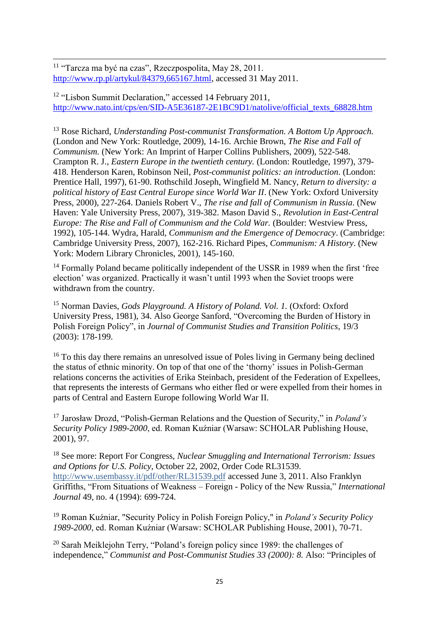1 <sup>11</sup> "Tarcza ma być na czas", Rzeczpospolita, May 28, 2011. [http://www.rp.pl/artykul/84379,665167.html,](http://www.rp.pl/artykul/84379,665167.html) accessed 31 May 2011.

<sup>12</sup> "Lisbon Summit Declaration," accessed 14 February 2011, [http://www.nato.int/cps/en/SID-A5E36187-2E1BC9D1/natolive/official\\_texts\\_68828.htm](http://www.nato.int/cps/en/SID-A5E36187-2E1BC9D1/natolive/official_texts_68828.htm)

<sup>13</sup> Rose Richard, *Understanding Post-communist Transformation. A Bottom Up Approach.*  (London and New York: Routledge, 2009), 14-16. Archie Brown, *The Rise and Fall of Communism.* (New York: An Imprint of Harper Collins Publishers, 2009), 522-548. Crampton R. J., *Eastern Europe in the twentieth century.* (London: Routledge, 1997), 379- 418. Henderson Karen, Robinson Neil, *Post-communist politics: an introduction*. (London: Prentice Hall, 1997), 61-90. Rothschild Joseph, Wingfield M. Nancy, *Return to diversity: a political history of East Central Europe since World War II*. (New York: Oxford University Press, 2000), 227-264. Daniels Robert V., *The rise and fall of Communism in Russia*. (New Haven: Yale University Press, 2007), 319-382. Mason David S., *Revolution in East-Central Europe: The Rise and Fall of Communism and the Cold War. (Boulder: Westview Press,* 1992), 105-144. Wydra, Harald, *Communism and the Emergence of Democracy*. (Cambridge: Cambridge University Press, 2007), 162-216. Richard Pipes, *Communism: A History*. (New York: Modern Library Chronicles, 2001), 145-160.

<sup>14</sup> Formally Poland became politically independent of the USSR in 1989 when the first 'free election' was organized. Practically it wasn't until 1993 when the Soviet troops were withdrawn from the country.

<sup>15</sup> Norman Davies, *Gods Playground. A History of Poland. Vol. 1.* (Oxford: Oxford University Press, 1981), 34. Also George Sanford, "Overcoming the Burden of History in Polish Foreign Policy", in *Journal of Communist Studies and Transition Politics*, 19/3 (2003): 178-199.

<sup>16</sup> To this day there remains an unresolved issue of Poles living in Germany being declined the status of ethnic minority. On top of that one of the 'thorny' issues in Polish-German relations concerns the activities of Erika Steinbach, president of the Federation of Expellees, that represents the interests of Germans who either fled or were expelled from their homes in parts of Central and Eastern Europe following World War II.

<sup>17</sup> Jarosław Drozd, "Polish-German Relations and the Question of Security," in *Poland's Security Policy 1989-2000*, ed. Roman Kuźniar (Warsaw: SCHOLAR Publishing House, 2001), 97.

<sup>18</sup> See more: Report For Congress, *Nuclear Smuggling and International Terrorism: Issues and Options for U.S. Policy*, October 22, 2002, Order Code RL31539. <http://www.usembassy.it/pdf/other/RL31539.pdf> accessed June 3, 2011. Also Franklyn Griffiths, "From Situations of Weakness – Foreign - Policy of the New Russia," *International Journal* 49, no. 4 (1994): 699-724.

<sup>19</sup> Roman Kuźniar, "Security Policy in Polish Foreign Policy," in *Poland's Security Policy 1989-2000*, ed. Roman Kuźniar (Warsaw: SCHOLAR Publishing House, 2001), 70-71.

 $20$  Sarah Meiklejohn Terry, "Poland's foreign policy since 1989: the challenges of independence," *Communist and Post-Communist Studies 33 (2000): 8.* Also: "Principles of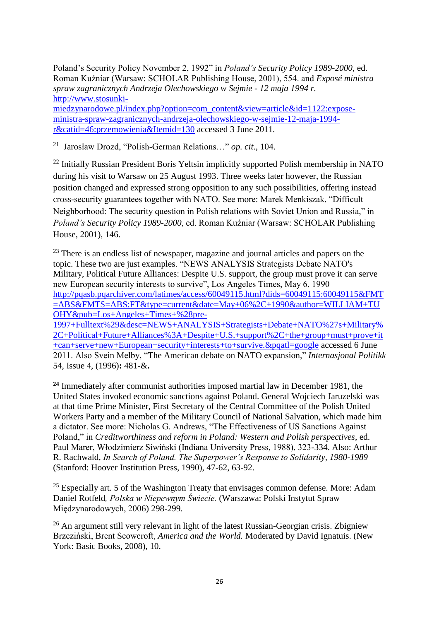1 Poland's Security Policy November 2, 1992" in *Poland's Security Policy 1989-2000*, ed. Roman Kuźniar (Warsaw: SCHOLAR Publishing House, 2001), 554. and *Exposé ministra spraw zagranicznych Andrzeja Olechowskiego w Sejmie - 12 maja 1994 r.*  [http://www.stosunki](http://www.stosunki-miedzynarodowe.pl/index.php?option=com_content&view=article&id=1122:expose-ministra-spraw-zagranicznych-andrzeja-olechowskiego-w-sejmie-12-maja-1994-r&catid=46:przemowienia&Itemid=130)[miedzynarodowe.pl/index.php?option=com\\_content&view=article&id=1122:expose](http://www.stosunki-miedzynarodowe.pl/index.php?option=com_content&view=article&id=1122:expose-ministra-spraw-zagranicznych-andrzeja-olechowskiego-w-sejmie-12-maja-1994-r&catid=46:przemowienia&Itemid=130)[ministra-spraw-zagranicznych-andrzeja-olechowskiego-w-sejmie-12-maja-1994](http://www.stosunki-miedzynarodowe.pl/index.php?option=com_content&view=article&id=1122:expose-ministra-spraw-zagranicznych-andrzeja-olechowskiego-w-sejmie-12-maja-1994-r&catid=46:przemowienia&Itemid=130) [r&catid=46:przemowienia&Itemid=130](http://www.stosunki-miedzynarodowe.pl/index.php?option=com_content&view=article&id=1122:expose-ministra-spraw-zagranicznych-andrzeja-olechowskiego-w-sejmie-12-maja-1994-r&catid=46:przemowienia&Itemid=130) accessed 3 June 2011*.* 

21 Jarosław Drozd, "Polish-German Relations…" *op. cit*., 104.

 $^{22}$  Initially Russian President Boris Yeltsin implicitly supported Polish membership in NATO during his visit to Warsaw on 25 August 1993. Three weeks later however, the Russian position changed and expressed strong opposition to any such possibilities, offering instead cross-security guarantees together with NATO. See more: Marek Menkiszak, "Difficult Neighborhood: The security question in Polish relations with Soviet Union and Russia," in *Poland's Security Policy 1989-2000*, ed. Roman Kuźniar (Warsaw: SCHOLAR Publishing House, 2001), 146.

 $23$  There is an endless list of newspaper, magazine and journal articles and papers on the topic. These two are just examples. "NEWS ANALYSIS Strategists Debate NATO's Military, Political Future Alliances: Despite U.S. support, the group must prove it can serve new European security interests to survive", Los Angeles Times, May 6, 1990 [http://pqasb.pqarchiver.com/latimes/access/60049115.html?dids=60049115:60049115&FMT](http://pqasb.pqarchiver.com/latimes/access/60049115.html?dids=60049115:60049115&FMT=ABS&FMTS=ABS:FT&type=current&date=May+06%2C+1990&author=WILLIAM+TUOHY&pub=Los+Angeles+Times+%28pre-1997+Fulltext%29&desc=NEWS+ANALYSIS+Strategists+Debate+NATO%27s+Military%2C+Political+Future+Alliances%3A+Despite+U.S.+support%2C+the+group+must+prove+it+can+serve+new+European+security+interests+to+survive.&pqatl=google) [=ABS&FMTS=ABS:FT&type=current&date=May+06%2C+1990&author=WILLIAM+TU](http://pqasb.pqarchiver.com/latimes/access/60049115.html?dids=60049115:60049115&FMT=ABS&FMTS=ABS:FT&type=current&date=May+06%2C+1990&author=WILLIAM+TUOHY&pub=Los+Angeles+Times+%28pre-1997+Fulltext%29&desc=NEWS+ANALYSIS+Strategists+Debate+NATO%27s+Military%2C+Political+Future+Alliances%3A+Despite+U.S.+support%2C+the+group+must+prove+it+can+serve+new+European+security+interests+to+survive.&pqatl=google) [OHY&pub=Los+Angeles+Times+%28pre-](http://pqasb.pqarchiver.com/latimes/access/60049115.html?dids=60049115:60049115&FMT=ABS&FMTS=ABS:FT&type=current&date=May+06%2C+1990&author=WILLIAM+TUOHY&pub=Los+Angeles+Times+%28pre-1997+Fulltext%29&desc=NEWS+ANALYSIS+Strategists+Debate+NATO%27s+Military%2C+Political+Future+Alliances%3A+Despite+U.S.+support%2C+the+group+must+prove+it+can+serve+new+European+security+interests+to+survive.&pqatl=google)

[1997+Fulltext%29&desc=NEWS+ANALYSIS+Strategists+Debate+NATO%27s+Military%](http://pqasb.pqarchiver.com/latimes/access/60049115.html?dids=60049115:60049115&FMT=ABS&FMTS=ABS:FT&type=current&date=May+06%2C+1990&author=WILLIAM+TUOHY&pub=Los+Angeles+Times+%28pre-1997+Fulltext%29&desc=NEWS+ANALYSIS+Strategists+Debate+NATO%27s+Military%2C+Political+Future+Alliances%3A+Despite+U.S.+support%2C+the+group+must+prove+it+can+serve+new+European+security+interests+to+survive.&pqatl=google) [2C+Political+Future+Alliances%3A+Despite+U.S.+support%2C+the+group+must+prove+it](http://pqasb.pqarchiver.com/latimes/access/60049115.html?dids=60049115:60049115&FMT=ABS&FMTS=ABS:FT&type=current&date=May+06%2C+1990&author=WILLIAM+TUOHY&pub=Los+Angeles+Times+%28pre-1997+Fulltext%29&desc=NEWS+ANALYSIS+Strategists+Debate+NATO%27s+Military%2C+Political+Future+Alliances%3A+Despite+U.S.+support%2C+the+group+must+prove+it+can+serve+new+European+security+interests+to+survive.&pqatl=google) [+can+serve+new+European+security+interests+to+survive.&pqatl=google](http://pqasb.pqarchiver.com/latimes/access/60049115.html?dids=60049115:60049115&FMT=ABS&FMTS=ABS:FT&type=current&date=May+06%2C+1990&author=WILLIAM+TUOHY&pub=Los+Angeles+Times+%28pre-1997+Fulltext%29&desc=NEWS+ANALYSIS+Strategists+Debate+NATO%27s+Military%2C+Political+Future+Alliances%3A+Despite+U.S.+support%2C+the+group+must+prove+it+can+serve+new+European+security+interests+to+survive.&pqatl=google) accessed 6 June 2011. Also Svein Melby, "The American debate on NATO expansion," *Internasjonal Politikk* 54, Issue 4, (1996)**:** 481-&**.**

**<sup>24</sup>** Immediately after communist authorities imposed martial law in December 1981, the United States invoked economic sanctions against Poland. General Wojciech Jaruzelski was at that time Prime Minister, First Secretary of the Central Committee of the Polish United Workers Party and a member of the Military Council of National Salvation, which made him a dictator. See more: Nicholas G. Andrews, "The Effectiveness of US Sanctions Against Poland," in *Creditworthiness and reform in Poland: Western and Polish perspectives*, ed. Paul Marer, Włodzimierz Siwiński (Indiana University Press, 1988), 323-334. Also: Arthur R. Rachwald, *In Search of Poland. The Superpower's Response to Solidarity, 1980-1989*  (Stanford: Hoover Institution Press, 1990), 47-62, 63-92.

 $25$  Especially art. 5 of the Washington Treaty that envisages common defense. More: Adam Daniel Rotfeld*, Polska w Niepewnym Świecie.* (Warszawa: Polski Instytut Spraw Międzynarodowych, 2006) 298-299.

<sup>26</sup> An argument still very relevant in light of the latest Russian-Georgian crisis. Zbigniew Brzeziński, Brent Scowcroft, *America and the World.* Moderated by David Ignatuis. (New York: Basic Books, 2008), 10.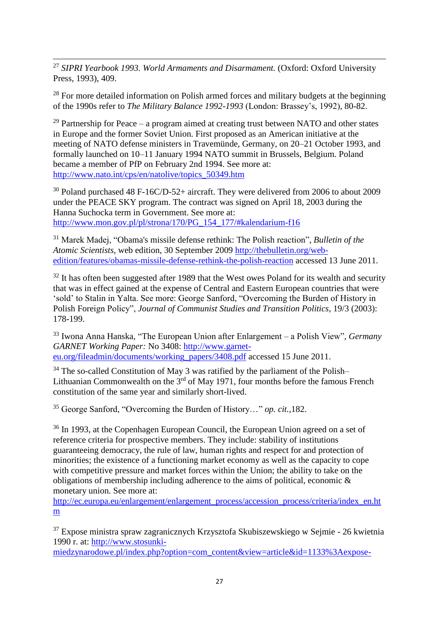1 <sup>27</sup> *SIPRI Yearbook 1993. World Armaments and Disarmament.* (Oxford: Oxford University Press, 1993), 409.

 $28$  For more detailed information on Polish armed forces and military budgets at the beginning of the 1990s refer to *The Military Balance 1992-1993* (London: Brassey's, 1992), 80-82.

<sup>29</sup> Partnership for Peace – a program aimed at creating trust between NATO and other states in Europe and the former Soviet Union. First proposed as an American initiative at the meeting of NATO defense ministers in Travemünde, Germany, on 20–21 October 1993, and formally launched on 10–11 January 1994 NATO summit in Brussels, Belgium. Poland became a member of PfP on February 2nd 1994. See more at: [http://www.nato.int/cps/en/natolive/topics\\_50349.htm](http://www.nato.int/cps/en/natolive/topics_50349.htm)

<sup>30</sup> Poland purchased 48 F-16C/D-52+ aircraft. They were delivered from 2006 to about 2009 under the PEACE SKY program. The contract was signed on April 18, 2003 during the Hanna Suchocka term in Government. See more at: [http://www.mon.gov.pl/pl/strona/170/PG\\_154\\_177/#kalendarium-f16](http://www.mon.gov.pl/pl/strona/170/PG_154_177/#kalendarium-f16)

<sup>31</sup> Marek Madej, "Obama's missile defense rethink: The Polish reaction", *Bulletin of the Atomic Scientists*, web edition, 30 September 2009 [http://thebulletin.org/web](http://thebulletin.org/web-edition/features/obamas-missile-defense-rethink-the-polish-reaction)[edition/features/obamas-missile-defense-rethink-the-polish-reaction](http://thebulletin.org/web-edition/features/obamas-missile-defense-rethink-the-polish-reaction) accessed 13 June 2011.

 $32$  It has often been suggested after 1989 that the West owes Poland for its wealth and security that was in effect gained at the expense of Central and Eastern European countries that were 'sold' to Stalin in Yalta. See more: George Sanford, "Overcoming the Burden of History in Polish Foreign Policy", *Journal of Communist Studies and Transition Politics*, 19/3 (2003): 178-199.

<sup>33</sup> Iwona Anna Hanska, "The European Union after Enlargement – a Polish View"*, Germany GARNET Working Paper:* No 3408: [http://www.garnet](http://www.garnet-eu.org/fileadmin/documents/working_papers/3408.pdf)[eu.org/fileadmin/documents/working\\_papers/3408.pdf](http://www.garnet-eu.org/fileadmin/documents/working_papers/3408.pdf) accessed 15 June 2011.

<sup>34</sup> The so-called Constitution of May 3 was ratified by the parliament of the Polish– Lithuanian Commonwealth on the  $3<sup>rd</sup>$  of May 1971, four months before the famous French constitution of the same year and similarly short-lived.

<sup>35</sup> George Sanford, "Overcoming the Burden of History…" *op. cit.,*182.

<sup>36</sup> In 1993, at the Copenhagen European Council, the European Union agreed on a set of reference criteria for prospective members. They include: stability of institutions guaranteeing democracy, the rule of law, human rights and respect for and protection of minorities; the existence of a functioning market economy as well as the capacity to cope with competitive pressure and market forces within the Union; the ability to take on the obligations of membership including adherence to the aims of political, economic & monetary union. See more at:

[http://ec.europa.eu/enlargement/enlargement\\_process/accession\\_process/criteria/index\\_en.ht](http://ec.europa.eu/enlargement/enlargement_process/accession_process/criteria/index_en.htm) [m](http://ec.europa.eu/enlargement/enlargement_process/accession_process/criteria/index_en.htm)

<sup>37</sup> Expose ministra spraw zagranicznych Krzysztofa Skubiszewskiego w Sejmie - 26 kwietnia 1990 r. at: [http://www.stosunki-](http://www.stosunki-miedzynarodowe.pl/index.php?option=com_content&view=article&id=1133%3Aexpose-ministra-spraw-zagranicznych-krzysztofa-skubiszewskiego-w-sejmie-26-kwietnia-1990-r&catid=46%3Aprzemowienia&Itemid=130)

[miedzynarodowe.pl/index.php?option=com\\_content&view=article&id=1133%3Aexpose-](http://www.stosunki-miedzynarodowe.pl/index.php?option=com_content&view=article&id=1133%3Aexpose-ministra-spraw-zagranicznych-krzysztofa-skubiszewskiego-w-sejmie-26-kwietnia-1990-r&catid=46%3Aprzemowienia&Itemid=130)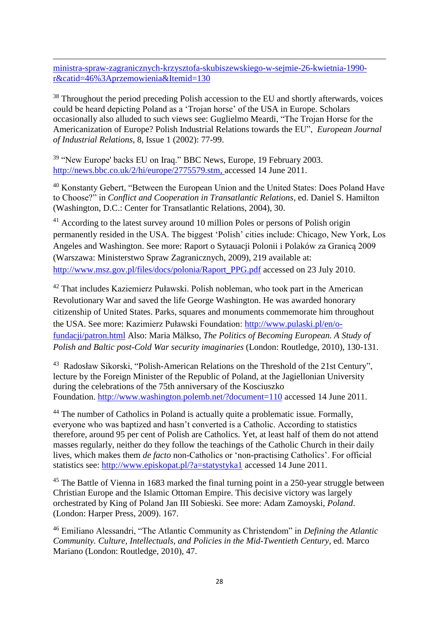1 [ministra-spraw-zagranicznych-krzysztofa-skubiszewskiego-w-sejmie-26-kwietnia-1990](http://www.stosunki-miedzynarodowe.pl/index.php?option=com_content&view=article&id=1133%3Aexpose-ministra-spraw-zagranicznych-krzysztofa-skubiszewskiego-w-sejmie-26-kwietnia-1990-r&catid=46%3Aprzemowienia&Itemid=130) [r&catid=46%3Aprzemowienia&Itemid=130](http://www.stosunki-miedzynarodowe.pl/index.php?option=com_content&view=article&id=1133%3Aexpose-ministra-spraw-zagranicznych-krzysztofa-skubiszewskiego-w-sejmie-26-kwietnia-1990-r&catid=46%3Aprzemowienia&Itemid=130)

<sup>38</sup> Throughout the period preceding Polish accession to the EU and shortly afterwards, voices could be heard depicting Poland as a 'Trojan horse' of the USA in Europe. Scholars occasionally also alluded to such views see: Guglielmo Meardi, "The Trojan Horse for the Americanization of Europe? Polish Industrial Relations towards the EU", *European Journal of Industrial Relations*, 8, Issue 1 (2002): 77-99.

<sup>39</sup> "New Europe' backs EU on Iraq." BBC News, Europe, 19 February 2003. [http://news.bbc.co.uk/2/hi/europe/2775579.stm,](http://news.bbc.co.uk/2/hi/europe/2775579.stm) accessed 14 June 2011.

<sup>40</sup> Konstanty Gebert, "Between the European Union and the United States: Does Poland Have to Choose?" in *Conflict and Cooperation in Transatlantic Relations*, ed. Daniel S. Hamilton (Washington, D.C.: Center for Transatlantic Relations, 2004), 30.

<sup>41</sup> According to the latest survey around 10 million Poles or persons of Polish origin permanently resided in the USA. The biggest 'Polish' cities include: Chicago, New York, Los Angeles and Washington. See more: Raport o Sytauacji Polonii i Polaków za Granicą 2009 (Warszawa: Ministerstwo Spraw Zagranicznych, 2009), 219 available at: [http://www.msz.gov.pl/files/docs/polonia/Raport\\_PPG.pdf](http://www.msz.gov.pl/files/docs/polonia/Raport_PPG.pdf) accessed on 23 July 2010.

<sup>42</sup> That includes Kaziemierz Puławski. Polish nobleman, who took part in the American Revolutionary War and saved the life George Washington. He was awarded honorary citizenship of United States. Parks, squares and monuments commemorate him throughout the USA. See more: Kazimierz Puławski Foundation: [http://www.pulaski.pl/en/o](http://www.pulaski.pl/en/o-fundacji/patron.html)[fundacji/patron.html](http://www.pulaski.pl/en/o-fundacji/patron.html) Also: Maria Mälkso, *The Politics of Becoming European. A Study of Polish and Baltic post-Cold War security imaginaries* (London: Routledge, 2010), 130-131.

<sup>43</sup> Radosław Sikorski, "Polish-American Relations on the Threshold of the 21st Century", lecture by the Foreign Minister of the Republic of Poland, at the Jagiellonian University during the celebrations of the 75th anniversary of the Kosciuszko Foundation. <http://www.washington.polemb.net/?document=110> accessed 14 June 2011.

<sup>44</sup> The number of Catholics in Poland is actually quite a problematic issue. Formally, everyone who was baptized and hasn't converted is a Catholic. According to statistics therefore, around 95 per cent of Polish are Catholics. Yet, at least half of them do not attend masses regularly, neither do they follow the teachings of the Catholic Church in their daily lives, which makes them *de facto* non-Catholics or 'non-practising Catholics'. For official statistics see:<http://www.episkopat.pl/?a=statystyka1> accessed 14 June 2011.

<sup>45</sup> The Battle of Vienna in 1683 marked the final turning point in a 250-year struggle between Christian Europe and the Islamic Ottoman Empire. This decisive victory was largely orchestrated by King of Poland Jan III Sobieski. See more: Adam Zamoyski, *Poland*. (London: Harper Press, 2009). 167.

<sup>46</sup> Emiliano Alessandri, "The Atlantic Community as Christendom" in *Defining the Atlantic Community. Culture, Intellectuals, and Policies in the Mid-Twentieth Century*, ed. Marco Mariano (London: Routledge, 2010), 47.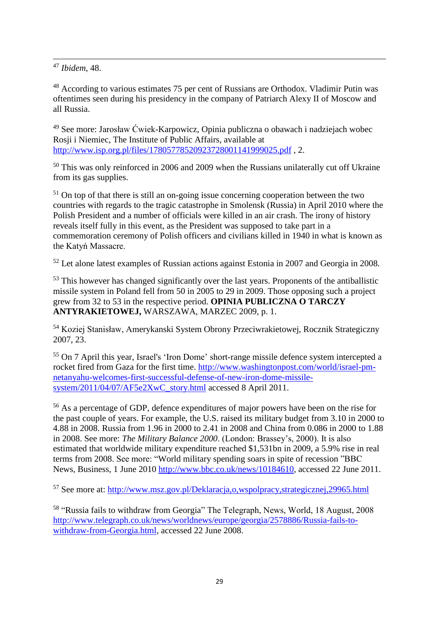1 <sup>47</sup> *Ibidem,* 48.

<sup>48</sup> According to various estimates 75 per cent of Russians are Orthodox. Vladimir Putin was oftentimes seen during his presidency in the company of Patriarch Alexy II of Moscow and all Russia.

<sup>49</sup> See more: Jarosław Ćwiek-Karpowicz, Opinia publiczna o obawach i nadziejach wobec Rosji i Niemiec, The Institute of Public Affairs, available at <http://www.isp.org.pl/files/17805778520923728001141999025.pdf> , 2.

<sup>50</sup> This was only reinforced in 2006 and 2009 when the Russians unilaterally cut off Ukraine from its gas supplies.

<sup>51</sup> On top of that there is still an on-going issue concerning cooperation between the two countries with regards to the tragic catastrophe in Smolensk (Russia) in April 2010 where the Polish President and a number of officials were killed in an air crash. The irony of history reveals itself fully in this event, as the President was supposed to take part in a commemoration ceremony of Polish officers and civilians killed in 1940 in what is known as the Katyń Massacre.

<sup>52</sup> Let alone latest examples of Russian actions against Estonia in 2007 and Georgia in 2008.

 $53$  This however has changed significantly over the last years. Proponents of the antiballistic missile system in Poland fell from 50 in 2005 to 29 in 2009. Those opposing such a project grew from 32 to 53 in the respective period. **OPINIA PUBLICZNA O TARCZY ANTYRAKIETOWEJ,** WARSZAWA, MARZEC 2009, p. 1.

<sup>54</sup> Koziej Stanisław, Amerykanski System Obrony Przeciwrakietowej, Rocznik Strategiczny 2007, 23.

<sup>55</sup> On 7 April this year, Israel's 'Iron Dome' short-range missile defence system intercepted a rocket fired from Gaza for the first time. [http://www.washingtonpost.com/world/israel-pm](http://www.washingtonpost.com/world/israel-pm-netanyahu-welcomes-first-successful-defense-of-new-iron-dome-missile-system/2011/04/07/AF5e2XwC_story.html)[netanyahu-welcomes-first-successful-defense-of-new-iron-dome-missile](http://www.washingtonpost.com/world/israel-pm-netanyahu-welcomes-first-successful-defense-of-new-iron-dome-missile-system/2011/04/07/AF5e2XwC_story.html)[system/2011/04/07/AF5e2XwC\\_story.html](http://www.washingtonpost.com/world/israel-pm-netanyahu-welcomes-first-successful-defense-of-new-iron-dome-missile-system/2011/04/07/AF5e2XwC_story.html) accessed 8 April 2011.

<sup>56</sup> As a percentage of GDP, defence expenditures of major powers have been on the rise for the past couple of years. For example, the U.S. raised its military budget from 3.10 in 2000 to 4.88 in 2008. Russia from 1.96 in 2000 to 2.41 in 2008 and China from 0.086 in 2000 to 1.88 in 2008. See more: *The Military Balance 2000*. (London: Brassey's, 2000). It is also estimated that worldwide military expenditure reached \$1,531bn in 2009, a 5.9% rise in real terms from 2008. See more: "World military spending soars in spite of recession "BBC News, Business, 1 June 2010 [http://www.bbc.co.uk/news/10184610,](http://www.bbc.co.uk/news/10184610) accessed 22 June 2011.

<sup>57</sup> See more at:<http://www.msz.gov.pl/Deklaracja,o,wspolpracy,strategicznej,29965.html>

<sup>58</sup> "Russia fails to withdraw from Georgia" The Telegraph, News, World, 18 August, 2008 [http://www.telegraph.co.uk/news/worldnews/europe/georgia/2578886/Russia-fails-to](http://www.telegraph.co.uk/news/worldnews/europe/georgia/2578886/Russia-fails-to-withdraw-from-Georgia.html)[withdraw-from-Georgia.html,](http://www.telegraph.co.uk/news/worldnews/europe/georgia/2578886/Russia-fails-to-withdraw-from-Georgia.html) accessed 22 June 2008.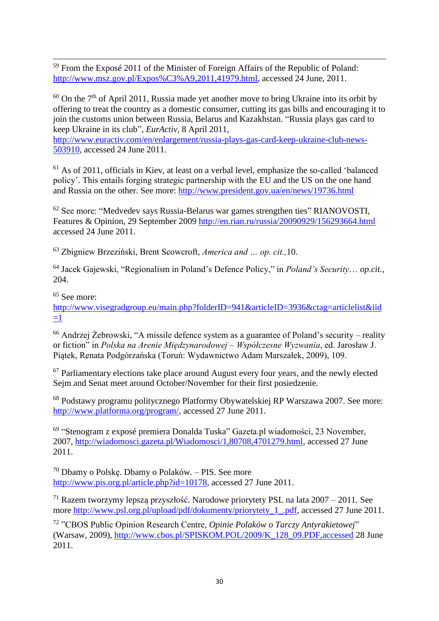1 <sup>59</sup> From the Exposé 2011 of the Minister of Foreign Affairs of the Republic of Poland: [http://www.msz.gov.pl/Expos%C3%A9,2011,41979.html,](http://www.msz.gov.pl/Expos%C3%A9,2011,41979.html) accessed 24 June, 2011.

 $60$  On the 7<sup>th</sup> of April 2011, Russia made yet another move to bring Ukraine into its orbit by offering to treat the country as a domestic consumer, cutting its gas bills and encouraging it to join the customs union between Russia, Belarus and Kazakhstan. "Russia plays gas card to keep Ukraine in its club", *EurActiv,* 8 April 2011,

[http://www.euractiv.com/en/enlargement/russia-plays-gas-card-keep-ukraine-club-news-](http://www.euractiv.com/en/enlargement/russia-plays-gas-card-keep-ukraine-club-news-503910)[503910,](http://www.euractiv.com/en/enlargement/russia-plays-gas-card-keep-ukraine-club-news-503910) accessed 24 June 2011.

 $61$  As of 2011, officials in Kiev, at least on a verbal level, emphasize the so-called 'balanced policy'. This entails forging strategic partnership with the EU and the US on the one hand and Russia on the other. See more:<http://www.president.gov.ua/en/news/19736.html>

<sup>62</sup> See more: "Medvedev says Russia-Belarus war games strengthen ties" RIANOVOSTI, Features & Opinion, 29 September 2009<http://en.rian.ru/russia/20090929/156293664.html> accessed 24 June 2011.

<sup>63</sup> Zbigniew Brzeziński, Brent Scowcroft, *America and … op. cit.,*10.

<sup>64</sup> Jacek Gajewski, "Regionalism in Poland's Defence Policy," in *Poland's Security*… *op.cit.,* 204.

<sup>65</sup> See more:

[http://www.visegradgroup.eu/main.php?folderID=941&articleID=3936&ctag=articlelist&iid](http://www.visegradgroup.eu/main.php?folderID=941&articleID=3936&ctag=articlelist&iid=1)  $=1$ 

<sup>66</sup> Andrzej Żebrowski, "A missile defence system as a guarantee of Poland's security – reality or fiction" in *Polska na Arenie Międzynarodowej – Współczesne Wyzwania*, ed. Jarosław J. Piątek, Renata Podgórzańska (Toruń: Wydawnictwo Adam Marszałek, 2009), 109.

<sup>67</sup> Parliamentary elections take place around August every four years, and the newly elected Sejm and Senat meet around October/November for their first posiedzenie.

<sup>68</sup> Podstawy programu politycznego Platformy Obywatelskiej RP Warszawa 2007. See more: [http://www.platforma.org/program/,](http://www.platforma.org/program/) accessed 27 June 2011.

69 "Stenogram z exposé premiera Donalda Tuska" Gazeta.pl wiadomości, 23 November, 2007, [http://wiadomosci.gazeta.pl/Wiadomosci/1,80708,4701279.html,](http://wiadomosci.gazeta.pl/Wiadomosci/1,80708,4701279.html) accessed 27 June 2011.

<sup>70</sup> Dbamy o Polskę. Dbamy o Polaków. – PIS. See more [http://www.pis.org.pl/article.php?id=10178,](http://www.pis.org.pl/article.php?id=10178) accessed 27 June 2011.

<sup>71</sup> Razem tworzymy lepszą przyszłość. Narodowe priorytety PSL na lata  $2007 - 2011$ . See more [http://www.psl.org.pl/upload/pdf/dokumenty/priorytety\\_1\\_.pdf,](http://www.psl.org.pl/upload/pdf/dokumenty/priorytety_1_.pdf) accessed 27 June 2011.

<sup>72</sup> "CBOS Public Opinion Research Centre, *Opinie Polaków o Tarczy Antyrakietowej*" (Warsaw, 2009), [http://www.cbos.pl/SPISKOM.POL/2009/K\\_128\\_09.PDF,accessed](http://www.cbos.pl/SPISKOM.POL/2009/K_128_09.PDF,accessed) 28 June 2011.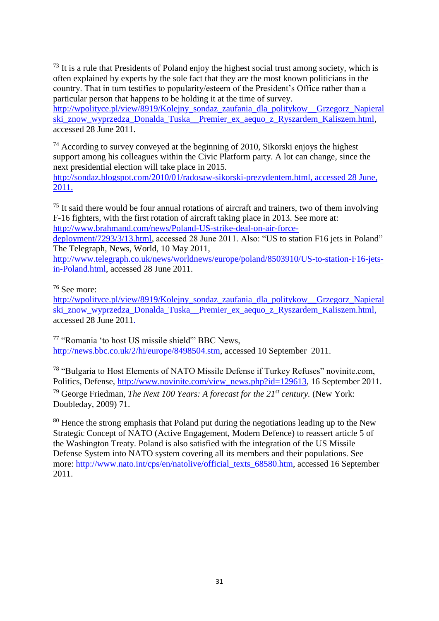1  $73$  It is a rule that Presidents of Poland enjoy the highest social trust among society, which is often explained by experts by the sole fact that they are the most known politicians in the country. That in turn testifies to popularity/esteem of the President's Office rather than a particular person that happens to be holding it at the time of survey. [http://wpolityce.pl/view/8919/Kolejny\\_sondaz\\_zaufania\\_dla\\_politykow\\_\\_Grzegorz\\_Napieral](http://wpolityce.pl/view/8919/Kolejny_sondaz_zaufania_dla_politykow__Grzegorz_Napieralski_znow_wyprzedza_Donalda_Tuska__Premier_ex_aequo_z_Ryszardem_Kaliszem.html)

ski znow wyprzedza Donalda Tuska Premier ex aequo z Ryszardem Kaliszem.html, accessed 28 June 2011.

 $74$  According to survey conveyed at the beginning of 2010, Sikorski enjoys the highest support among his colleagues within the Civic Platform party. A lot can change, since the next presidential election will take place in 2015.

[http://sondaz.blogspot.com/2010/01/radosaw-sikorski-prezydentem.html,](http://sondaz.blogspot.com/2010/01/radosaw-sikorski-prezydentem.html) accessed 28 June, 2011.

 $75$  It said there would be four annual rotations of aircraft and trainers, two of them involving F-16 fighters, with the first rotation of aircraft taking place in 2013. See more at: [http://www.brahmand.com/news/Poland-US-strike-deal-on-air-force-](http://www.brahmand.com/news/Poland-US-strike-deal-on-air-force-deployment/7293/3/13.html)

[deployment/7293/3/13.html,](http://www.brahmand.com/news/Poland-US-strike-deal-on-air-force-deployment/7293/3/13.html) accessed 28 June 2011. Also: "US to station F16 jets in Poland" The Telegraph, News, World, 10 May 2011,

[http://www.telegraph.co.uk/news/worldnews/europe/poland/8503910/US-to-station-F16-jets](http://www.telegraph.co.uk/news/worldnews/europe/poland/8503910/US-to-station-F16-jets-in-Poland.html)[in-Poland.html,](http://www.telegraph.co.uk/news/worldnews/europe/poland/8503910/US-to-station-F16-jets-in-Poland.html) accessed 28 June 2011.

<sup>76</sup> See more:

[http://wpolityce.pl/view/8919/Kolejny\\_sondaz\\_zaufania\\_dla\\_politykow\\_\\_Grzegorz\\_Napieral](http://wpolityce.pl/view/8919/Kolejny_sondaz_zaufania_dla_politykow__Grzegorz_Napieralski_znow_wyprzedza_Donalda_Tuska__Premier_ex_aequo_z_Ryszardem_Kaliszem.html) [ski\\_znow\\_wyprzedza\\_Donalda\\_Tuska\\_\\_Premier\\_ex\\_aequo\\_z\\_Ryszardem\\_Kaliszem.html,](http://wpolityce.pl/view/8919/Kolejny_sondaz_zaufania_dla_politykow__Grzegorz_Napieralski_znow_wyprzedza_Donalda_Tuska__Premier_ex_aequo_z_Ryszardem_Kaliszem.html) accessed 28 June 2011.

<sup>77</sup> "Romania 'to host US missile shield'" BBC News, [http://news.bbc.co.uk/2/hi/europe/8498504.stm,](http://news.bbc.co.uk/2/hi/europe/8498504.stm) accessed 10 September 2011.

<sup>78</sup> "Bulgaria to Host Elements of NATO Missile Defense if Turkey Refuses" novinite.com, Politics, Defense, [http://www.novinite.com/view\\_news.php?id=129613,](http://www.novinite.com/view_news.php?id=129613) 16 September 2011. <sup>79</sup> George Friedman, *The Next 100 Years: A forecast for the 21st century.* (New York: Doubleday, 2009) 71.

<sup>80</sup> Hence the strong emphasis that Poland put during the negotiations leading up to the New Strategic Concept of NATO (Active Engagement, Modern Defence) to reassert article 5 of the Washington Treaty. Poland is also satisfied with the integration of the US Missile Defense System into NATO system covering all its members and their populations. See more: [http://www.nato.int/cps/en/natolive/official\\_texts\\_68580.htm,](http://www.nato.int/cps/en/natolive/official_texts_68580.htm) accessed 16 September 2011.